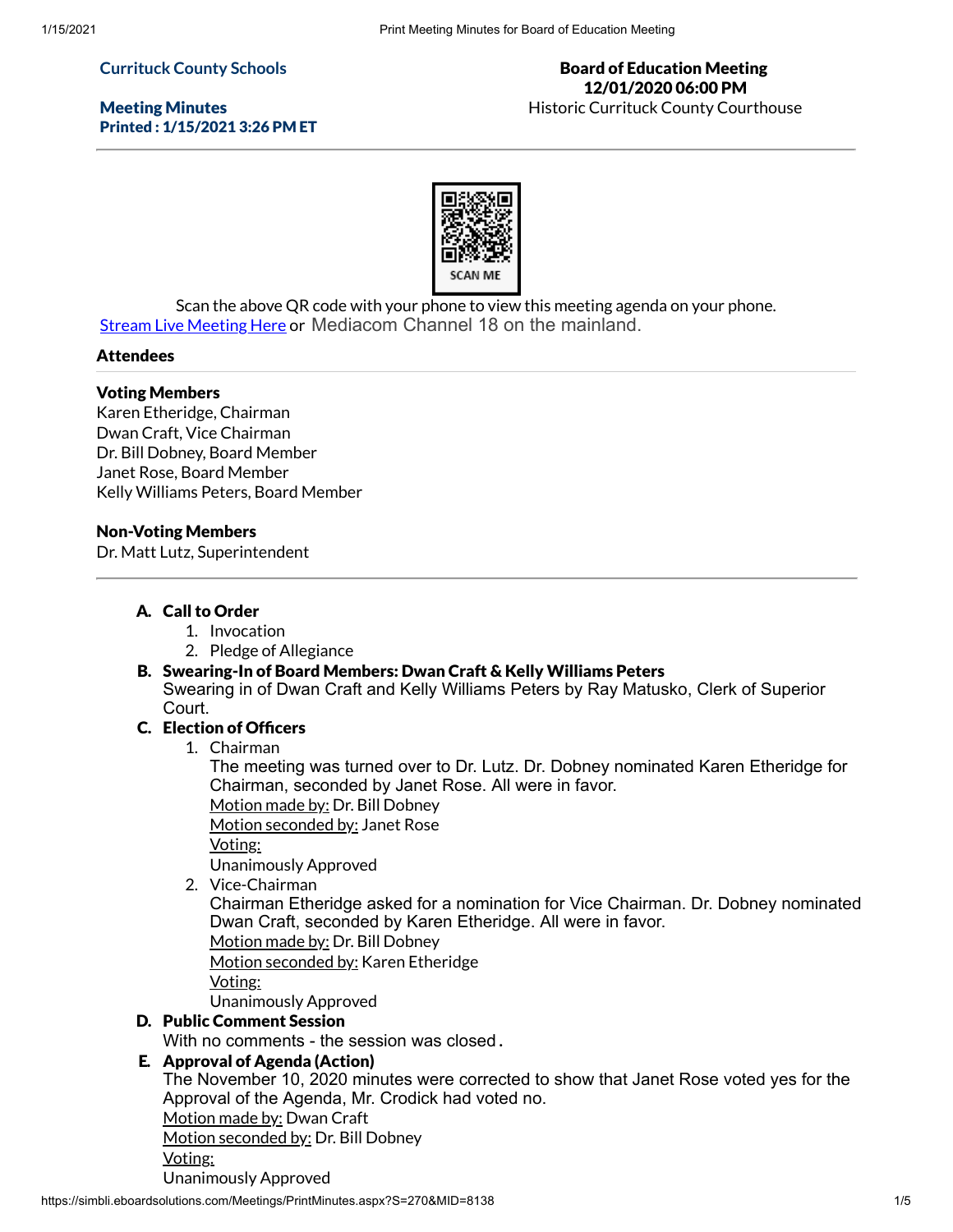### **Currituck County Schools**

Meeting Minutes Printed : 1/15/2021 3:26 PM ET

#### Board of Education Meeting 12/01/2020 06:00 PM Historic Currituck County Courthouse



Scan the above QR code with your phone to view this meeting agenda on your phone. **Stream Live [Meeting](http://currituckcountync.iqm2.com/Citizens/default.aspx) Here or Mediacom Channel 18 on the mainland.** 

#### Attendees

## Voting Members

Karen Etheridge, Chairman Dwan Craft, Vice Chairman Dr. Bill Dobney, Board Member Janet Rose, Board Member Kelly Williams Peters, Board Member

#### Non-Voting Members

Dr. Matt Lutz, Superintendent

## A. Call to Order

- 1. Invocation
- 2. Pledge of Allegiance

#### B. Swearing-In of Board Members: Dwan Craft & Kelly Williams Peters

Swearing in of Dwan Craft and Kelly Williams Peters by Ray Matusko, Clerk of Superior Court.

# C. Election of Officers

1. Chairman

The meeting was turned over to Dr. Lutz. Dr. Dobney nominated Karen Etheridge for Chairman, seconded by Janet Rose. All were in favor.

Motion made by: Dr. Bill Dobney

Motion seconded by: Janet Rose

Voting:

Unanimously Approved

2. Vice-Chairman

Chairman Etheridge asked for a nomination for Vice Chairman. Dr. Dobney nominated Dwan Craft, seconded by Karen Etheridge. All were in favor.

Motion made by: Dr. Bill Dobney

Motion seconded by: Karen Etheridge

Voting:

Unanimously Approved

## D. Public Comment Session

With no comments - the session was closed **.**

## E. Approval of Agenda (Action)

The November 10, 2020 minutes were corrected to show that Janet Rose voted yes for the Approval of the Agenda, Mr. Crodick had voted no.

Motion made by: Dwan Craft

Motion seconded by: Dr. Bill Dobney

Voting:

Unanimously Approved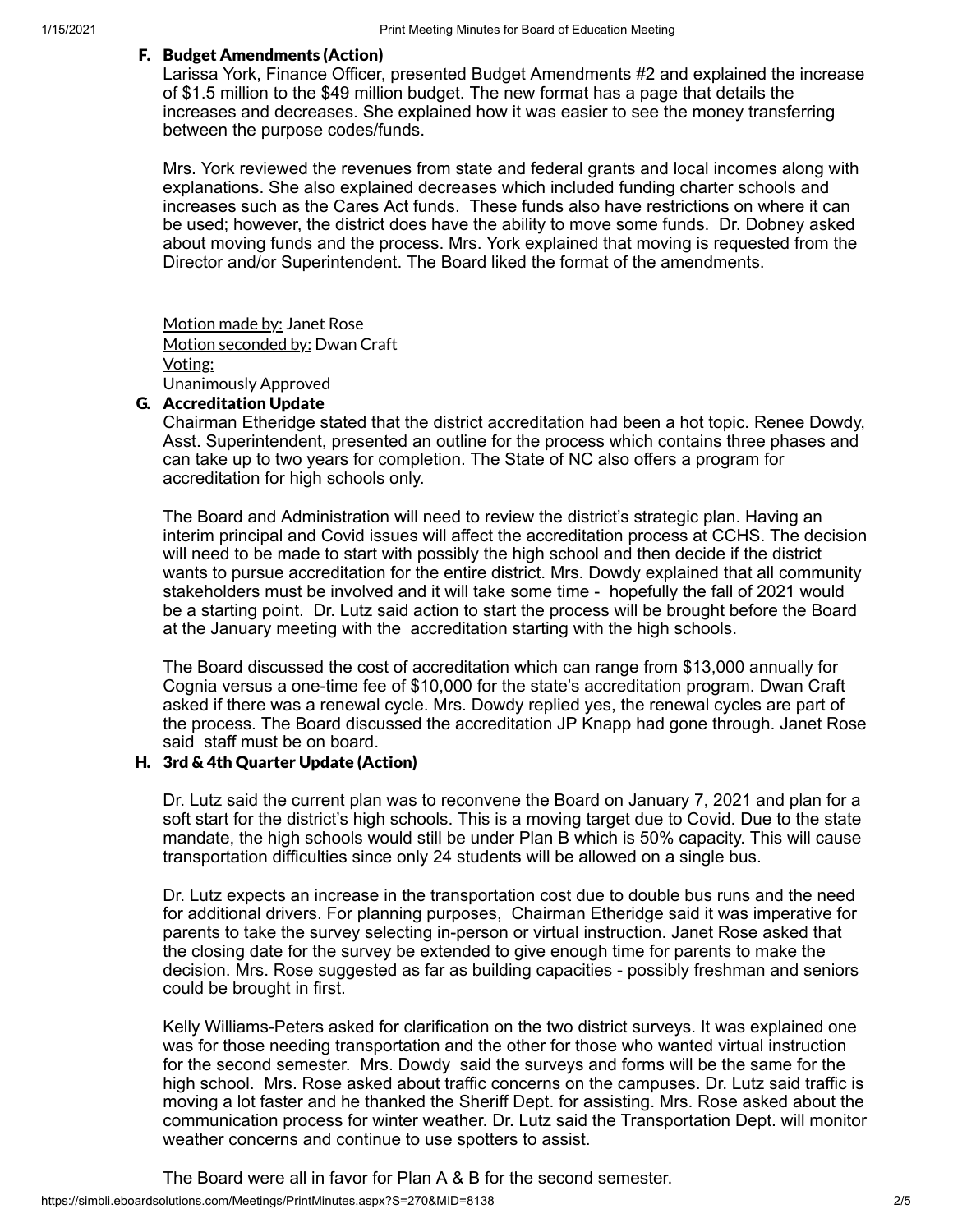#### F. Budget Amendments (Action)

Larissa York, Finance Officer, presented Budget Amendments #2 and explained the increase of \$1.5 million to the \$49 million budget. The new format has a page that details the increases and decreases. She explained how it was easier to see the money transferring between the purpose codes/funds.

Mrs. York reviewed the revenues from state and federal grants and local incomes along with explanations. She also explained decreases which included funding charter schools and increases such as the Cares Act funds. These funds also have restrictions on where it can be used; however, the district does have the ability to move some funds. Dr. Dobney asked about moving funds and the process. Mrs. York explained that moving is requested from the Director and/or Superintendent. The Board liked the format of the amendments.

Motion made by: Janet Rose Motion seconded by: Dwan Craft Voting: Unanimously Approved

## G. Accreditation Update

Chairman Etheridge stated that the district accreditation had been a hot topic. Renee Dowdy, Asst. Superintendent, presented an outline for the process which contains three phases and can take up to two years for completion. The State of NC also offers a program for accreditation for high schools only.

The Board and Administration will need to review the district's strategic plan. Having an interim principal and Covid issues will affect the accreditation process at CCHS. The decision will need to be made to start with possibly the high school and then decide if the district wants to pursue accreditation for the entire district. Mrs. Dowdy explained that all community stakeholders must be involved and it will take some time - hopefully the fall of 2021 would be a starting point. Dr. Lutz said action to start the process will be brought before the Board at the January meeting with the accreditation starting with the high schools.

The Board discussed the cost of accreditation which can range from \$13,000 annually for Cognia versus a one-time fee of \$10,000 for the state's accreditation program. Dwan Craft asked if there was a renewal cycle. Mrs. Dowdy replied yes, the renewal cycles are part of the process. The Board discussed the accreditation JP Knapp had gone through. Janet Rose said staff must be on board.

## H. 3rd & 4th Quarter Update (Action)

Dr. Lutz said the current plan was to reconvene the Board on January 7, 2021 and plan for a soft start for the district's high schools. This is a moving target due to Covid. Due to the state mandate, the high schools would still be under Plan B which is 50% capacity. This will cause transportation difficulties since only 24 students will be allowed on a single bus.

Dr. Lutz expects an increase in the transportation cost due to double bus runs and the need for additional drivers. For planning purposes, Chairman Etheridge said it was imperative for parents to take the survey selecting in-person or virtual instruction. Janet Rose asked that the closing date for the survey be extended to give enough time for parents to make the decision. Mrs. Rose suggested as far as building capacities - possibly freshman and seniors could be brought in first.

Kelly Williams-Peters asked for clarification on the two district surveys. It was explained one was for those needing transportation and the other for those who wanted virtual instruction for the second semester. Mrs. Dowdy said the surveys and forms will be the same for the high school. Mrs. Rose asked about traffic concerns on the campuses. Dr. Lutz said traffic is moving a lot faster and he thanked the Sheriff Dept. for assisting. Mrs. Rose asked about the communication process for winter weather. Dr. Lutz said the Transportation Dept. will monitor weather concerns and continue to use spotters to assist.

The Board were all in favor for Plan A & B for the second semester.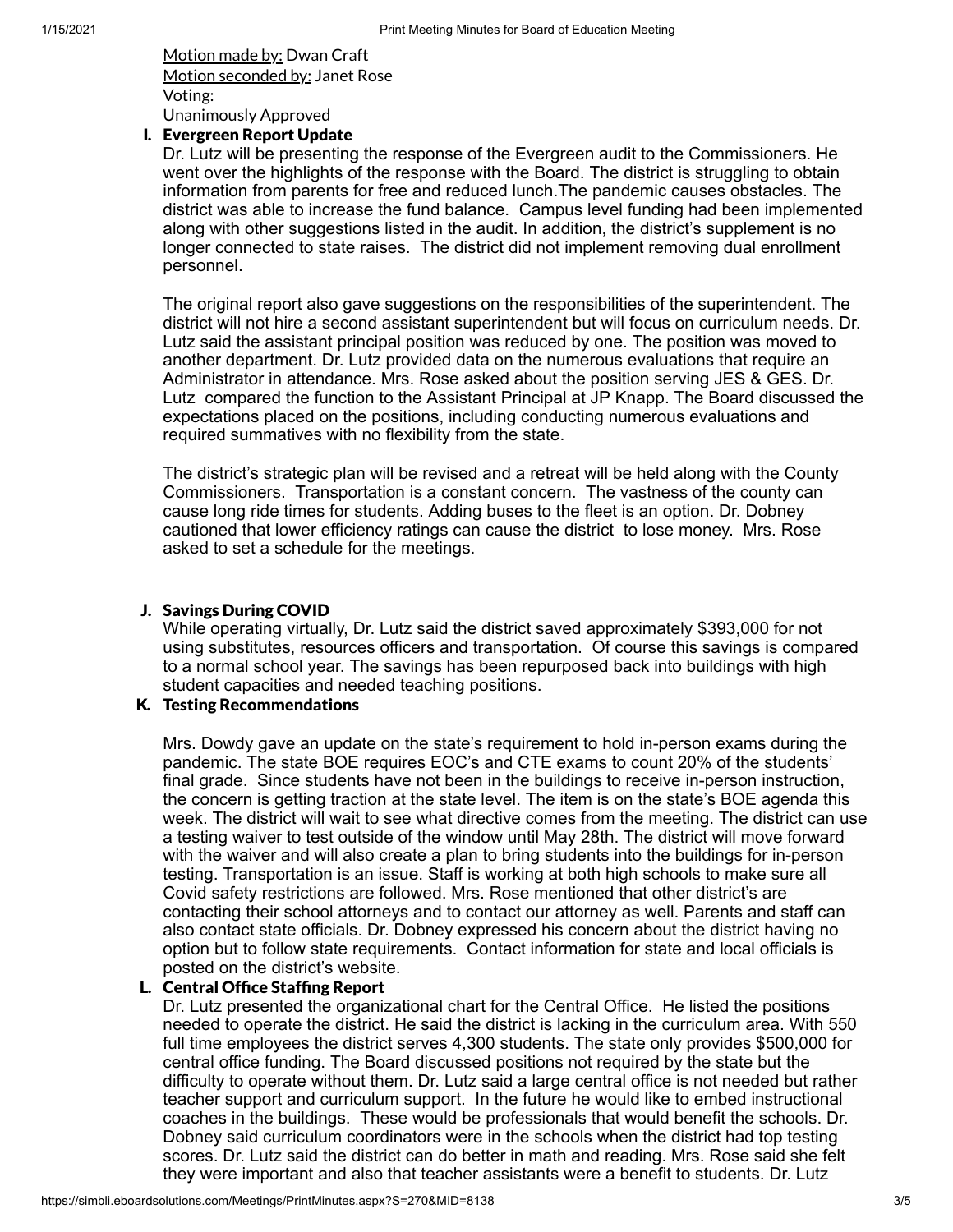Motion made by: Dwan Craft Motion seconded by: Janet Rose Voting: Unanimously Approved

#### I. Evergreen Report Update

Dr. Lutz will be presenting the response of the Evergreen audit to the Commissioners. He went over the highlights of the response with the Board. The district is struggling to obtain information from parents for free and reduced lunch.The pandemic causes obstacles. The district was able to increase the fund balance. Campus level funding had been implemented along with other suggestions listed in the audit. In addition, the district's supplement is no longer connected to state raises. The district did not implement removing dual enrollment personnel.

The original report also gave suggestions on the responsibilities of the superintendent. The district will not hire a second assistant superintendent but will focus on curriculum needs. Dr. Lutz said the assistant principal position was reduced by one. The position was moved to another department. Dr. Lutz provided data on the numerous evaluations that require an Administrator in attendance. Mrs. Rose asked about the position serving JES & GES. Dr. Lutz compared the function to the Assistant Principal at JP Knapp. The Board discussed the expectations placed on the positions, including conducting numerous evaluations and required summatives with no flexibility from the state.

The district's strategic plan will be revised and a retreat will be held along with the County Commissioners. Transportation is a constant concern. The vastness of the county can cause long ride times for students. Adding buses to the fleet is an option. Dr. Dobney cautioned that lower efficiency ratings can cause the district to lose money. Mrs. Rose asked to set a schedule for the meetings.

## J. Savings During COVID

While operating virtually, Dr. Lutz said the district saved approximately \$393,000 for not using substitutes, resources officers and transportation. Of course this savings is compared to a normal school year. The savings has been repurposed back into buildings with high student capacities and needed teaching positions.

# K. Testing Recommendations

Mrs. Dowdy gave an update on the state's requirement to hold in-person exams during the pandemic. The state BOE requires EOC's and CTE exams to count 20% of the students' final grade. Since students have not been in the buildings to receive in-person instruction, the concern is getting traction at the state level. The item is on the state's BOE agenda this week. The district will wait to see what directive comes from the meeting. The district can use a testing waiver to test outside of the window until May 28th. The district will move forward with the waiver and will also create a plan to bring students into the buildings for in-person testing. Transportation is an issue. Staff is working at both high schools to make sure all Covid safety restrictions are followed. Mrs. Rose mentioned that other district's are contacting their school attorneys and to contact our attorney as well. Parents and staff can also contact state officials. Dr. Dobney expressed his concern about the district having no option but to follow state requirements. Contact information for state and local officials is posted on the district's website.

## L. Central Office Staffing Report

Dr. Lutz presented the organizational chart for the Central Office. He listed the positions needed to operate the district. He said the district is lacking in the curriculum area. With 550 full time employees the district serves 4,300 students. The state only provides \$500,000 for central office funding. The Board discussed positions not required by the state but the difficulty to operate without them. Dr. Lutz said a large central office is not needed but rather teacher support and curriculum support. In the future he would like to embed instructional coaches in the buildings. These would be professionals that would benefit the schools. Dr. Dobney said curriculum coordinators were in the schools when the district had top testing scores. Dr. Lutz said the district can do better in math and reading. Mrs. Rose said she felt they were important and also that teacher assistants were a benefit to students. Dr. Lutz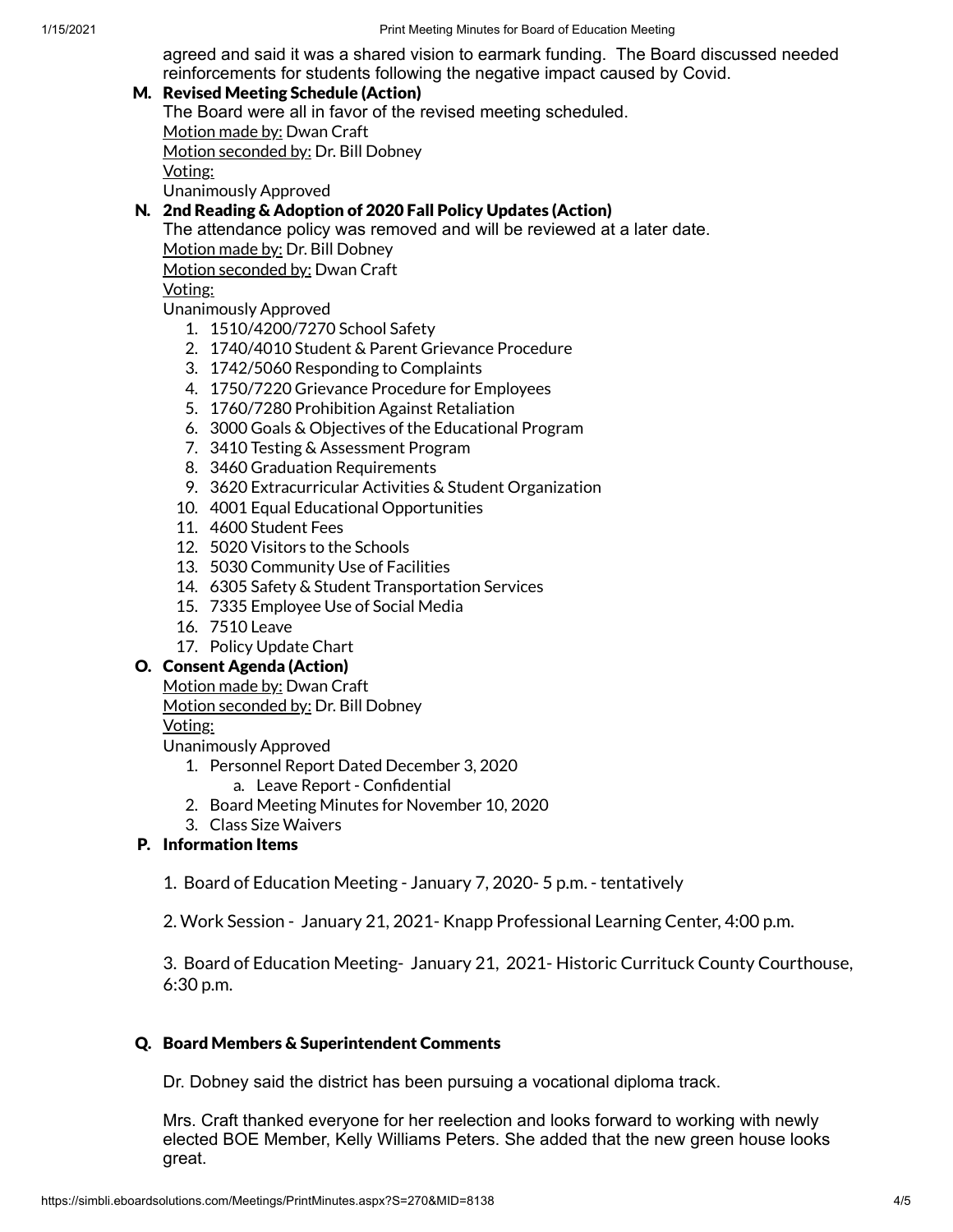agreed and said it was a shared vision to earmark funding. The Board discussed needed reinforcements for students following the negative impact caused by Covid.

## M. Revised Meeting Schedule (Action)

The Board were all in favor of the revised meeting scheduled. Motion made by: Dwan Craft

Motion seconded by: Dr. Bill Dobney

Voting:

Unanimously Approved

## N. 2nd Reading & Adoption of 2020 Fall Policy Updates (Action)

The attendance policy was removed and will be reviewed at a later date. Motion made by: Dr. Bill Dobney

Motion seconded by: Dwan Craft

Voting:

Unanimously Approved

- 1. 1510/4200/7270 School Safety
- 2. 1740/4010 Student & Parent Grievance Procedure
- 3. 1742/5060 Responding to Complaints
- 4. 1750/7220 Grievance Procedure for Employees
- 5. 1760/7280 Prohibition Against Retaliation
- 6. 3000 Goals & Objectives of the Educational Program
- 7. 3410 Testing & Assessment Program
- 8. 3460 Graduation Requirements
- 9. 3620 Extracurricular Activities & Student Organization
- 10. 4001 Equal Educational Opportunities
- 11. 4600 Student Fees
- 12. 5020 Visitors to the Schools
- 13. 5030 Community Use of Facilities
- 14. 6305 Safety & Student Transportation Services
- 15. 7335 Employee Use of Social Media
- 16. 7510 Leave
- 17. Policy Update Chart

# O. Consent Agenda (Action)

Motion made by: Dwan Craft

Motion seconded by: Dr. Bill Dobney

## Voting:

Unanimously Approved

- 1. Personnel Report Dated December 3, 2020
	- a. Leave Report Confidential
- 2. Board Meeting Minutes for November 10, 2020
- 3. Class Size Waivers

# P. Information Items

1. Board of Education Meeting - January 7, 2020- 5 p.m. - tentatively

2. Work Session - January 21, 2021- Knapp Professional Learning Center, 4:00 p.m.

3. Board of Education Meeting- January 21, 2021- Historic Currituck County Courthouse, 6:30 p.m.

## Q. Board Members & Superintendent Comments

Dr. Dobney said the district has been pursuing a vocational diploma track.

Mrs. Craft thanked everyone for her reelection and looks forward to working with newly elected BOE Member, Kelly Williams Peters. She added that the new green house looks great.